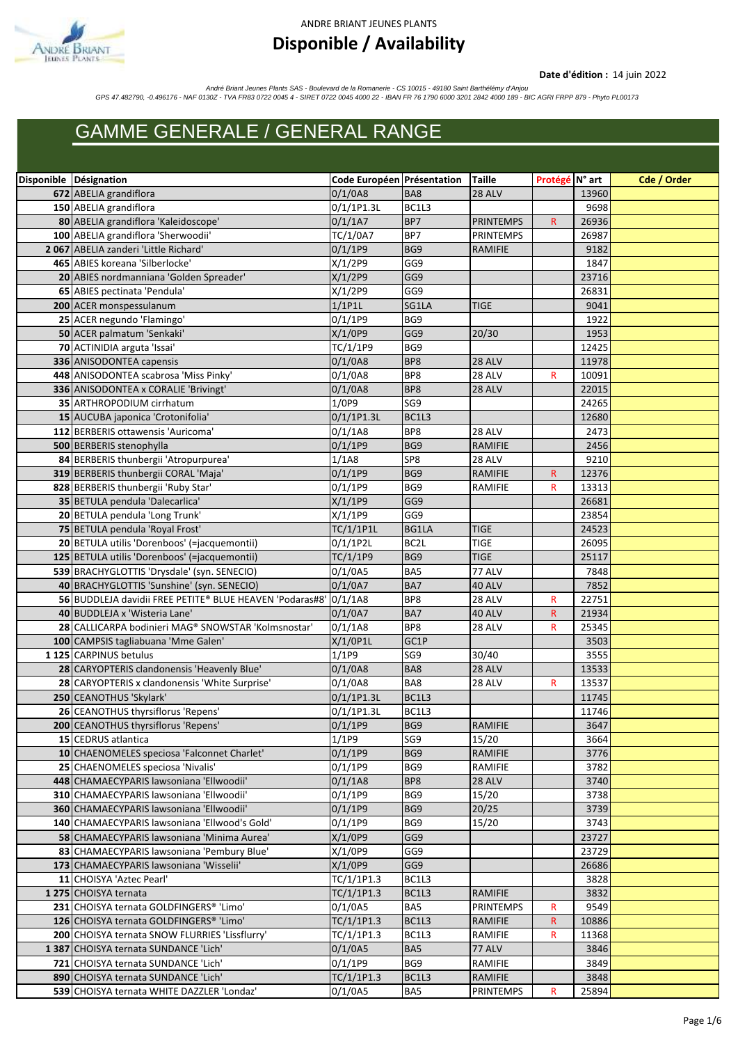

#### ANDRE BRIANT JEUNES PLANTS

#### **Disponible / Availability**

#### **Date d'édition :** 14 juin 2022

André Briant Jeunes Plants SAS - Boulevard de la Romanerie - CS 10015 - 49180 Saint Barthélémy d'Anjou<br>GPS 47.482790, -0.496176 - NAF 0130Z - TVA FR83 0722 0045 4 - SIRET 0722 0045 4000 22 - IBAN FR 76 1790 6000 3201 2842

#### **GAMME GENERALE / GENERAL RANGE**

| Disponible Désignation                                                    | Code Européen Présentation |                 | <b>Taille</b>    | Protégé N° art |                | Cde / Order |
|---------------------------------------------------------------------------|----------------------------|-----------------|------------------|----------------|----------------|-------------|
| 672 ABELIA grandiflora                                                    | 0/1/0A8                    | BA8             | <b>28 ALV</b>    |                | 13960          |             |
| 150 ABELIA grandiflora                                                    | 0/1/1P1.3L                 | BC1L3           |                  |                | 9698           |             |
| 80 ABELIA grandiflora 'Kaleidoscope'                                      | $0/1/1$ A7                 | BP7             | <b>PRINTEMPS</b> | $\mathsf{R}$   | 26936          |             |
| 100 ABELIA grandiflora 'Sherwoodii'                                       | TC/1/0A7                   | BP7             | <b>PRINTEMPS</b> |                | 26987          |             |
| 2067 ABELIA zanderi 'Little Richard'                                      | 0/1/1P9                    | BG9             | <b>RAMIFIE</b>   |                | 9182           |             |
| 465 ABIES koreana 'Silberlocke'                                           | X/1/2P9                    | GG9             |                  |                | 1847           |             |
| 20 ABIES nordmanniana 'Golden Spreader'                                   | X/1/2P9                    | GG9             |                  |                | 23716          |             |
| 65 ABIES pectinata 'Pendula'                                              | X/1/2P9                    | GG9             |                  |                | 26831          |             |
| 200 ACER monspessulanum                                                   | $1/1$ P1L                  | SG1LA           | <b>TIGE</b>      |                | 9041           |             |
| 25 ACER negundo 'Flamingo'                                                | 0/1/1P9                    | BG9             |                  |                | 1922           |             |
| 50 ACER palmatum 'Senkaki'                                                | X/1/0P9                    | GG9             | 20/30            |                | 1953           |             |
| 70 ACTINIDIA arguta 'Issai'                                               | TC/1/1P9                   | BG9             |                  |                | 12425          |             |
| 336 ANISODONTEA capensis                                                  | 0/1/0A8                    | BP8             | <b>28 ALV</b>    |                | 11978          |             |
| 448 ANISODONTEA scabrosa 'Miss Pinky'                                     | 0/1/0A8                    | BP8             | 28 ALV           | R              | 10091          |             |
| 336 ANISODONTEA x CORALIE 'Brivingt'                                      | 0/1/0A8                    | BP8             | 28 ALV           |                | 22015          |             |
| 35 ARTHROPODIUM cirrhatum                                                 | 1/0P9                      | SG <sub>9</sub> |                  |                | 24265          |             |
| 15 AUCUBA japonica 'Crotonifolia'                                         | $0/1/1$ P1.3L              | BC1L3           |                  |                | 12680          |             |
| 112 BERBERIS ottawensis 'Auricoma'                                        | 0/1/1A8                    | BP8             | 28 ALV           |                | 2473           |             |
| 500 BERBERIS stenophylla                                                  | 0/1/1P9                    | BG9             | <b>RAMIFIE</b>   |                | 2456           |             |
| 84 BERBERIS thunbergii 'Atropurpurea'                                     | 1/1A8                      | SP8             | 28 ALV           |                | 9210           |             |
| 319 BERBERIS thunbergii CORAL 'Maja'                                      | 0/1/1P9                    | BG9             | <b>RAMIFIE</b>   | R.             | 12376          |             |
| 828 BERBERIS thunbergii 'Ruby Star'                                       | $0/1/1$ P9                 | BG9             | RAMIFIE          | R              | 13313          |             |
| 35 BETULA pendula 'Dalecarlica'                                           | X/1/1P9                    | GG9             |                  |                | 26681          |             |
| 20 BETULA pendula 'Long Trunk'                                            | X/1/1P9                    | GG9             |                  |                | 23854          |             |
| 75 BETULA pendula 'Royal Frost'                                           | TC/1/1P1L                  | BG1LA           | <b>TIGE</b>      |                | 24523          |             |
| 20 BETULA utilis 'Dorenboos' (=jacquemontii)                              | $0/1/1$ P2L                | BC2L            | <b>TIGE</b>      |                | 26095          |             |
| 125 BETULA utilis 'Dorenboos' (=jacquemontii)                             | TC/1/1P9                   | BG9             | <b>TIGE</b>      |                | 25117          |             |
| 539 BRACHYGLOTTIS 'Drysdale' (syn. SENECIO)                               | 0/1/0A5                    | BA5             | 77 ALV           |                | 7848           |             |
| 40 BRACHYGLOTTIS 'Sunshine' (syn. SENECIO)                                | 0/1/0A7                    | BA7             | 40 ALV           |                | 7852           |             |
| 56 BUDDLEJA davidii FREE PETITE® BLUE HEAVEN 'Podaras#8'                  | 0/1/1A8                    | BP8             | 28 ALV           | R              | 22751          |             |
| 40 BUDDLEJA x 'Wisteria Lane'                                             | $0/1/0$ A7                 | BA7             | <b>40 ALV</b>    | R              | 21934          |             |
| 28 CALLICARPA bodinieri MAG® SNOWSTAR 'Kolmsnostar'                       | 0/1/1A8                    | BP8             | 28 ALV           | R              | 25345          |             |
| 100 CAMPSIS tagliabuana 'Mme Galen'                                       | $X/1/0$ P1L                | GC1P            |                  |                | 3503           |             |
| 1125 CARPINUS betulus                                                     | 1/1P9                      | SG9             | 30/40            |                | 3555           |             |
| 28 CARYOPTERIS clandonensis 'Heavenly Blue'                               | 0/1/0A8                    | BA8<br>BA8      | 28 ALV           |                | 13533          |             |
| 28 CARYOPTERIS x clandonensis 'White Surprise'<br>250 CEANOTHUS 'Skylark' | 0/1/0A8<br>$0/1/1$ P1.3L   | BC1L3           | 28 ALV           | R              | 13537<br>11745 |             |
| 26 CEANOTHUS thyrsiflorus 'Repens'                                        | $0/1/1$ P1.3L              | BC1L3           |                  |                | 11746          |             |
| 200 CEANOTHUS thyrsiflorus 'Repens'                                       | 0/1/1P9                    | BG <sub>9</sub> | RAMIFIE          |                | 3647           |             |
| 15 CEDRUS atlantica                                                       | 1/1P9                      | SG9             | 15/20            |                | 3664           |             |
| 10 CHAENOMELES speciosa 'Falconnet Charlet'                               | 0/1/1P9                    | BG9             | RAMIFIE          |                | 3776           |             |
| 25 CHAENOMELES speciosa 'Nivalis'                                         | $0/1/1$ P9                 | BG9             | RAMIFIE          |                | 3782           |             |
| 448 CHAMAECYPARIS lawsoniana 'Ellwoodii'                                  | 0/1/1A8                    | BP8             | <b>28 ALV</b>    |                | 3740           |             |
| 310 CHAMAECYPARIS lawsoniana 'Ellwoodii'                                  | $0/1/1$ P9                 | BG9             | 15/20            |                | 3738           |             |
| 360 CHAMAECYPARIS lawsoniana 'Ellwoodii'                                  | 0/1/1P9                    | BG9             | 20/25            |                | 3739           |             |
| 140 CHAMAECYPARIS lawsoniana 'Ellwood's Gold'                             | $0/1/1$ P9                 | BG9             | 15/20            |                | 3743           |             |
| 58 CHAMAECYPARIS lawsoniana 'Minima Aurea'                                | X/1/0P9                    | GG9             |                  |                | 23727          |             |
| 83 CHAMAECYPARIS lawsoniana 'Pembury Blue'                                | X/1/0P9                    | GG9             |                  |                | 23729          |             |
| 173 CHAMAECYPARIS lawsoniana 'Wisselii'                                   | X/1/0P9                    | GG9             |                  |                | 26686          |             |
| 11 CHOISYA 'Aztec Pearl'                                                  | TC/1/1P1.3                 | BC1L3           |                  |                | 3828           |             |
| 1275 CHOISYA ternata                                                      | TC/1/1P1.3                 | BC1L3           | RAMIFIE          |                | 3832           |             |
| 231 CHOISYA ternata GOLDFINGERS® 'Limo'                                   | 0/1/0A5                    | BA5             | <b>PRINTEMPS</b> | R              | 9549           |             |
| 126 CHOISYA ternata GOLDFINGERS® 'Limo'                                   | TC/1/1P1.3                 | BC1L3           | RAMIFIE          | R              | 10886          |             |
| 200 CHOISYA ternata SNOW FLURRIES 'Lissflurry'                            | TC/1/1P1.3                 | BC1L3           | RAMIFIE          | R              | 11368          |             |
| 1387 CHOISYA ternata SUNDANCE 'Lich'                                      | 0/1/0A5                    | BA5             | 77 ALV           |                | 3846           |             |
| 721 CHOISYA ternata SUNDANCE 'Lich'                                       | $0/1/1$ P9                 | BG9             | RAMIFIE          |                | 3849           |             |
| 890 CHOISYA ternata SUNDANCE 'Lich'                                       | TC/1/1P1.3                 | BC1L3           | RAMIFIE          |                | 3848           |             |
| 539 CHOISYA ternata WHITE DAZZLER 'Londaz'                                | 0/1/0A5                    | BA5             | <b>PRINTEMPS</b> | R              | 25894          |             |
|                                                                           |                            |                 |                  |                |                |             |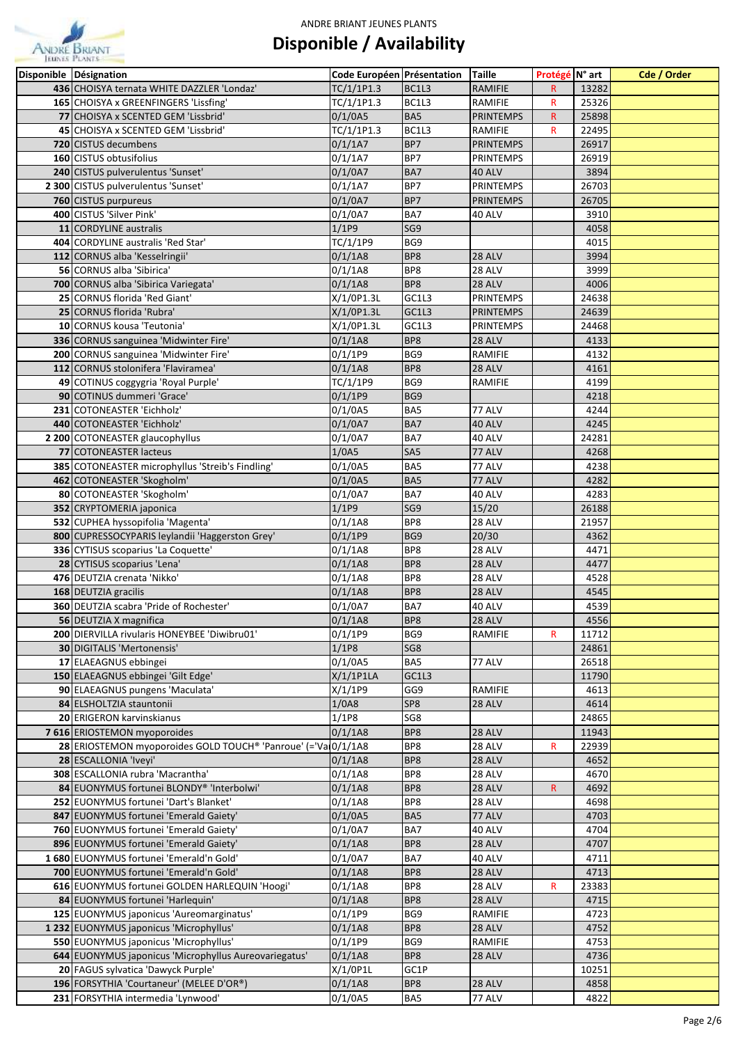

| Disponible Désignation                                        | Code Européen Présentation |                 | <b>Taille</b>    | Protégé N° art |                | Cde / Order |
|---------------------------------------------------------------|----------------------------|-----------------|------------------|----------------|----------------|-------------|
| 436 CHOISYA ternata WHITE DAZZLER 'Londaz'                    | TC/1/1P1.3                 | BC1L3           | RAMIFIE          | R.             | 13282          |             |
| 165 CHOISYA x GREENFINGERS 'Lissfing'                         | TC/1/1P1.3                 | BC1L3           | RAMIFIE          | R              | 25326          |             |
| 77 CHOISYA x SCENTED GEM 'Lissbrid'                           | 0/1/0A5                    | BA5             | <b>PRINTEMPS</b> | $\mathsf{R}$   | 25898          |             |
| 45 CHOISYA x SCENTED GEM 'Lissbrid'                           | TC/1/1P1.3                 | BC1L3           | RAMIFIE          | R              | 22495          |             |
| 720 CISTUS decumbens                                          | $0/1/1$ A7                 | BP7             | <b>PRINTEMPS</b> |                | 26917          |             |
| 160 CISTUS obtusifolius                                       | $0/1/1$ A7                 | BP7             | <b>PRINTEMPS</b> |                | 26919          |             |
| 240 CISTUS pulverulentus 'Sunset'                             | 0/1/0A7                    | BA7             | 40 ALV           |                | 3894           |             |
| 2 300 CISTUS pulverulentus 'Sunset'                           | $0/1/1$ A7                 | BP7             | <b>PRINTEMPS</b> |                | 26703          |             |
| 760 CISTUS purpureus                                          | 0/1/0A7                    | BP7             | <b>PRINTEMPS</b> |                | 26705          |             |
| 400 CISTUS 'Silver Pink'                                      | 0/1/0A7                    | BA7             | 40 ALV           |                | 3910           |             |
| 11 CORDYLINE australis                                        | 1/1P9                      | SG <sub>9</sub> |                  |                | 4058           |             |
| 404 CORDYLINE australis 'Red Star'                            | TC/1/1P9                   | BG9             |                  |                | 4015           |             |
| 112 CORNUS alba 'Kesselringii'                                | 0/1/1A8                    | BP8             | <b>28 ALV</b>    |                | 3994           |             |
| 56 CORNUS alba 'Sibirica'                                     | 0/1/1A8                    | BP8             | 28 ALV           |                | 3999           |             |
| 700 CORNUS alba 'Sibirica Variegata'                          | 0/1/1A8                    | BP8             | 28 ALV           |                | 4006           |             |
| 25 CORNUS florida 'Red Giant'                                 | X/1/0P1.3L                 | GC1L3           | <b>PRINTEMPS</b> |                | 24638          |             |
| 25 CORNUS florida 'Rubra'                                     | X/1/0P1.3L                 | GC1L3           | <b>PRINTEMPS</b> |                | 24639          |             |
| 10 CORNUS kousa 'Teutonia'                                    | X/1/0P1.3L                 | GC1L3           | <b>PRINTEMPS</b> |                | 24468          |             |
| 336 CORNUS sanguinea 'Midwinter Fire'                         | 0/1/1A8                    | BP8             | 28 ALV           |                | 4133           |             |
| 200 CORNUS sanguinea 'Midwinter Fire'                         | $0/1/1$ P9                 | BG9             | RAMIFIE          |                | 4132           |             |
| 112 CORNUS stolonifera 'Flaviramea'                           | 0/1/1A8                    | BP8             | <b>28 ALV</b>    |                | 4161           |             |
| 49 COTINUS coggygria 'Royal Purple'                           | TC/1/1P9                   | BG9             | RAMIFIE          |                | 4199           |             |
| 90 COTINUS dummeri 'Grace'                                    | 0/1/1P9                    | BG9             |                  |                | 4218           |             |
| 231 COTONEASTER 'Eichholz'                                    | 0/1/0A5                    | BA5             | 77 ALV           |                | 4244           |             |
| 440 COTONEASTER 'Eichholz'                                    | 0/1/0A7                    | BA7             | 40 ALV           |                | 4245           |             |
| 2 200 COTONEASTER glaucophyllus                               | 0/1/0A7                    | BA7             | 40 ALV           |                | 24281          |             |
| 77 COTONEASTER lacteus                                        | 1/0A5                      | SA <sub>5</sub> | 77 ALV           |                | 4268           |             |
| 385 COTONEASTER microphyllus 'Streib's Findling'              | 0/1/0A5                    | BA5             | 77 ALV           |                | 4238           |             |
| 462 COTONEASTER 'Skogholm'                                    | 0/1/0A5                    | BA5             | 77 ALV           |                | 4282           |             |
| 80 COTONEASTER 'Skogholm'                                     | 0/1/0A7                    | BA7             | 40 ALV           |                | 4283           |             |
| 352 CRYPTOMERIA japonica                                      | 1/1P9                      | SG <sub>9</sub> | 15/20            |                | 26188          |             |
| 532 CUPHEA hyssopifolia 'Magenta'                             | 0/1/1A8                    | BP8             | 28 ALV           |                | 21957          |             |
| 800 CUPRESSOCYPARIS leylandii 'Haggerston Grey'               | 0/1/1P9                    | BG9             | 20/30            |                | 4362           |             |
| 336 CYTISUS scoparius 'La Coquette'                           | 0/1/1A8                    | BP8             | 28 ALV           |                | 4471           |             |
| 28 CYTISUS scoparius 'Lena'                                   | 0/1/1A8                    | BP8             | 28 ALV           |                | 4477           |             |
| 476 DEUTZIA crenata 'Nikko'                                   | 0/1/1A8                    | BP8             | 28 ALV           |                | 4528           |             |
| 168 DEUTZIA gracilis                                          | 0/1/1A8                    | BP8             | 28 ALV           |                | 4545           |             |
| 360 DEUTZIA scabra 'Pride of Rochester'                       | 0/1/0A7                    | BA7             | 40 ALV           |                | 4539           |             |
| 56 DEUTZIA X magnifica                                        | 0/1/1A8                    | BP8             | 28 ALV           |                | 4556           |             |
| 200 DIERVILLA rivularis HONEYBEE 'Diwibru01'                  | 0/1/1P9                    | BG9             | RAMIFIE          | R              | 11712          |             |
| 30 DIGITALIS 'Mertonensis'                                    | 1/1P8                      | SG8             |                  |                | 24861          |             |
| 17 ELAEAGNUS ebbingei                                         | 0/1/0A5                    | BA5             | 77 ALV           |                | 26518          |             |
| 150 ELAEAGNUS ebbingei 'Gilt Edge'                            | $X/1/1$ P1LA               | GC1L3           |                  |                | 11790          |             |
| 90 ELAEAGNUS pungens 'Maculata'                               | X/1/1P9                    | GG9             | RAMIFIE          |                | 4613           |             |
| 84 ELSHOLTZIA stauntonii                                      | 1/0A8                      | SP8             | 28 ALV           |                | 4614           |             |
| 20 ERIGERON karvinskianus<br>7616 ERIOSTEMON myoporoides      | 1/1P8<br>0/1/1A8           | SG8<br>BP8      | 28 ALV           |                | 24865<br>11943 |             |
| 28 ERIOSTEMON myoporoides GOLD TOUCH® 'Panroue' (='VaI0/1/1A8 |                            | BP8             | 28 ALV           | R              | 22939          |             |
| 28 ESCALLONIA 'Iveyi'                                         | 0/1/1A8                    | BP8             | 28 ALV           |                | 4652           |             |
| 308 ESCALLONIA rubra 'Macrantha'                              | 0/1/1A8                    | BP8             | 28 ALV           |                | 4670           |             |
| 84 EUONYMUS fortunei BLONDY® 'Interbolwi'                     | 0/1/1A8                    | BP8             | 28 ALV           | R.             | 4692           |             |
| 252 EUONYMUS fortunei 'Dart's Blanket'                        | 0/1/1A8                    | BP8             | 28 ALV           |                | 4698           |             |
| 847 EUONYMUS fortunei 'Emerald Gaiety'                        | 0/1/0A5                    | BA5             | 77 ALV           |                | 4703           |             |
| 760 EUONYMUS fortunei 'Emerald Gaiety'                        | $0/1/0$ A7                 | BA7             | 40 ALV           |                | 4704           |             |
| 896 EUONYMUS fortunei 'Emerald Gaiety'                        | 0/1/1A8                    | BP8             | <b>28 ALV</b>    |                | 4707           |             |
| 1680 EUONYMUS fortunei 'Emerald'n Gold'                       | $0/1/0$ A7                 | BA7             | 40 ALV           |                | 4711           |             |
| 700 EUONYMUS fortunei 'Emerald'n Gold'                        | 0/1/1A8                    | BP8             | <b>28 ALV</b>    |                | 4713           |             |
| 616 EUONYMUS fortunei GOLDEN HARLEQUIN 'Hoogi'                | 0/1/1A8                    | BP8             | 28 ALV           | $\mathsf{R}$   | 23383          |             |
| 84 EUONYMUS fortunei 'Harlequin'                              | 0/1/1A8                    | BP8             | <b>28 ALV</b>    |                | 4715           |             |
| 125 EUONYMUS japonicus 'Aureomarginatus'                      | 0/1/1P9                    | BG9             | RAMIFIE          |                | 4723           |             |
| 1232 EUONYMUS japonicus 'Microphyllus'                        | 0/1/1A8                    | BP8             | 28 ALV           |                | 4752           |             |
| 550 EUONYMUS japonicus 'Microphyllus'                         | $0/1/1$ P9                 | BG9             | RAMIFIE          |                | 4753           |             |
| 644 EUONYMUS japonicus 'Microphyllus Aureovariegatus'         | 0/1/1A8                    | BP8             | 28 ALV           |                | 4736           |             |
| 20 FAGUS sylvatica 'Dawyck Purple'                            | $X/1/0$ P1L                | GC1P            |                  |                | 10251          |             |
| 196 FORSYTHIA 'Courtaneur' (MELEE D'OR®)                      | 0/1/1A8                    | BP8             | 28 ALV           |                | 4858           |             |
| 231 FORSYTHIA intermedia 'Lynwood'                            | 0/1/0A5                    | BA5             | 77 ALV           |                | 4822           |             |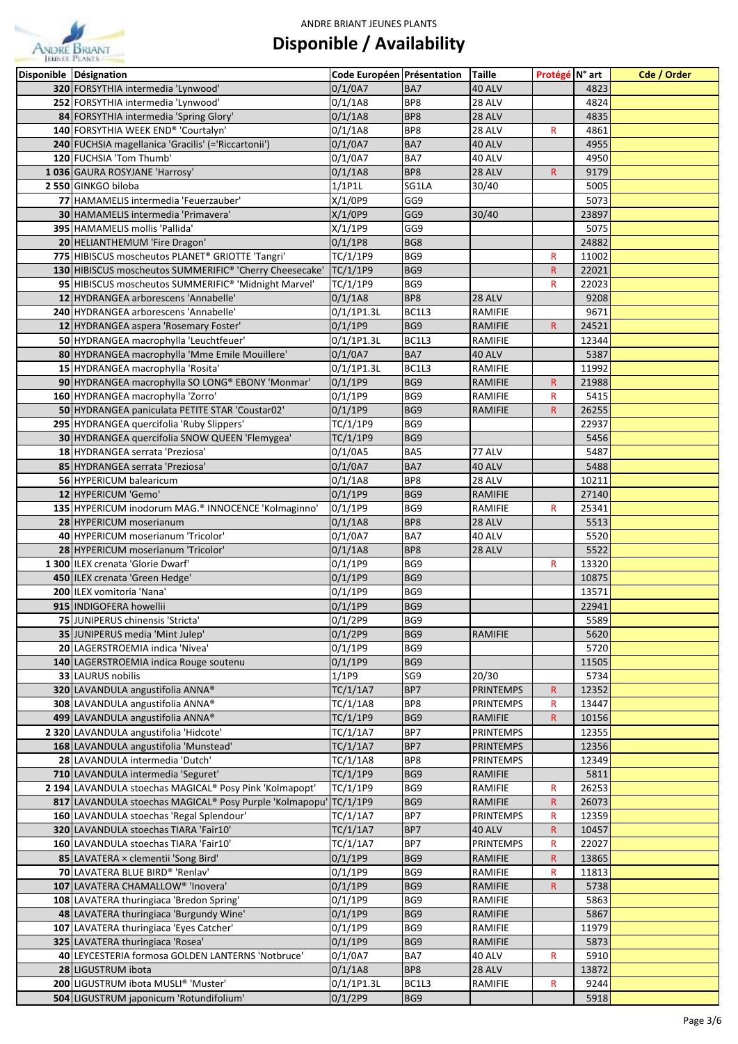

| Disponible Désignation                                                                                          | Code Européen Présentation |            | <b>Taille</b>              | Protégé N° art    |                | Cde / Order |
|-----------------------------------------------------------------------------------------------------------------|----------------------------|------------|----------------------------|-------------------|----------------|-------------|
| 320 FORSYTHIA intermedia 'Lynwood'                                                                              | 0/1/0A7                    | BA7        | 40 ALV                     |                   | 4823           |             |
| 252 FORSYTHIA intermedia 'Lynwood'                                                                              | 0/1/1A8                    | BP8        | 28 ALV                     |                   | 4824           |             |
| 84 FORSYTHIA intermedia 'Spring Glory'                                                                          | 0/1/1A8                    | BP8        | 28 ALV                     |                   | 4835           |             |
| 140 FORSYTHIA WEEK END® 'Courtalyn'                                                                             | 0/1/1A8                    | BP8        | 28 ALV                     | ${\sf R}$         | 4861           |             |
| 240 FUCHSIA magellanica 'Gracilis' (='Riccartonii')                                                             | $0/1/0$ A7                 | BA7        | 40 ALV                     |                   | 4955           |             |
| 120 FUCHSIA 'Tom Thumb'                                                                                         | $0/1/0$ A7                 | BA7        | 40 ALV                     |                   | 4950           |             |
| 1036 GAURA ROSYJANE 'Harrosy'                                                                                   | 0/1/1A8                    | BP8        | <b>28 ALV</b>              | $\mathsf{R}$      | 9179           |             |
| 2 550 GINKGO biloba                                                                                             | $1/1$ P1L                  | SG1LA      | 30/40                      |                   | 5005           |             |
| 77 HAMAMELIS intermedia 'Feuerzauber'                                                                           | X/1/0P9                    | GG9        |                            |                   | 5073           |             |
| 30 HAMAMELIS intermedia 'Primavera'                                                                             | X/1/0P9                    | GG9        | 30/40                      |                   | 23897          |             |
| 395 HAMAMELIS mollis 'Pallida'                                                                                  | X/1/1P9                    | GG9        |                            |                   | 5075           |             |
| 20 HELIANTHEMUM 'Fire Dragon'                                                                                   | 0/1/1P8                    | BG8        |                            |                   | 24882          |             |
| 775 HIBISCUS moscheutos PLANET® GRIOTTE 'Tangri'                                                                | TC/1/1P9                   | BG9<br>BG9 |                            | R                 | 11002          |             |
| 130 HIBISCUS moscheutos SUMMERIFIC® 'Cherry Cheesecake'<br>95 HIBISCUS moscheutos SUMMERIFIC® 'Midnight Marvel' | TC/1/1P9<br>TC/1/1P9       | BG9        |                            | $\mathsf{R}$<br>R | 22021<br>22023 |             |
| 12 HYDRANGEA arborescens 'Annabelle'                                                                            | 0/1/1A8                    | BP8        | 28 ALV                     |                   | 9208           |             |
| 240 HYDRANGEA arborescens 'Annabelle'                                                                           | $0/1/1$ P1.3L              | BC1L3      | RAMIFIE                    |                   | 9671           |             |
| 12 HYDRANGEA aspera 'Rosemary Foster'                                                                           | 0/1/1P9                    | BG9        | RAMIFIE                    | $\mathsf{R}$      | 24521          |             |
| 50 HYDRANGEA macrophylla 'Leuchtfeuer'                                                                          | $0/1/1$ P1.3L              | BC1L3      | RAMIFIE                    |                   | 12344          |             |
| 80 HYDRANGEA macrophylla 'Mme Emile Mouillere'                                                                  | 0/1/0A7                    | BA7        | 40 ALV                     |                   | 5387           |             |
| 15 HYDRANGEA macrophylla 'Rosita'                                                                               | $0/1/1$ P1.3L              | BC1L3      | RAMIFIE                    |                   | 11992          |             |
| 90 HYDRANGEA macrophylla SO LONG® EBONY 'Monmar'                                                                | 0/1/1P9                    | BG9        | RAMIFIE                    | $\mathsf{R}$      | 21988          |             |
| 160 HYDRANGEA macrophylla 'Zorro'                                                                               | 0/1/1P9                    | BG9        | RAMIFIE                    | R                 | 5415           |             |
| 50 HYDRANGEA paniculata PETITE STAR 'Coustar02'                                                                 | 0/1/1P9                    | BG9        | <b>RAMIFIE</b>             | $\mathsf{R}$      | 26255          |             |
| 295 HYDRANGEA quercifolia 'Ruby Slippers'                                                                       | TC/1/1P9                   | BG9        |                            |                   | 22937          |             |
| 30 HYDRANGEA quercifolia SNOW QUEEN 'Flemygea'                                                                  | TC/1/1P9                   | BG9        |                            |                   | 5456           |             |
| 18 HYDRANGEA serrata 'Preziosa'                                                                                 | 0/1/0A5                    | BA5        | 77 ALV                     |                   | 5487           |             |
| 85 HYDRANGEA serrata 'Preziosa'                                                                                 | 0/1/0A7                    | BA7        | 40 ALV                     |                   | 5488           |             |
| 56 HYPERICUM balearicum                                                                                         | 0/1/1A8                    | BP8        | 28 ALV                     |                   | 10211          |             |
| 12 HYPERICUM 'Gemo'                                                                                             | 0/1/1P9                    | BG9        | RAMIFIE                    |                   | 27140          |             |
| 135 HYPERICUM inodorum MAG. <sup>®</sup> INNOCENCE 'Kolmaginno'                                                 | $0/1/1$ P9                 | BG9        | RAMIFIE                    | R                 | 25341          |             |
| 28 HYPERICUM moserianum                                                                                         | 0/1/1A8                    | BP8        | 28 ALV                     |                   | 5513           |             |
| 40 HYPERICUM moserianum 'Tricolor'                                                                              | 0/1/0A7                    | BA7<br>BP8 | 40 ALV                     |                   | 5520           |             |
| 28 HYPERICUM moserianum 'Tricolor'<br>1 300 ILEX crenata 'Glorie Dwarf'                                         | 0/1/1A8<br>$0/1/1$ P9      | BG9        | 28 ALV                     | $\mathsf{R}$      | 5522<br>13320  |             |
| 450 ILEX crenata 'Green Hedge'                                                                                  | $0/1/1$ P9                 | BG9        |                            |                   | 10875          |             |
| 200 ILEX vomitoria 'Nana'                                                                                       | 0/1/1P9                    | BG9        |                            |                   | 13571          |             |
| 915 INDIGOFERA howellii                                                                                         | 0/1/1P9                    | BG9        |                            |                   | 22941          |             |
| 75 JUNIPERUS chinensis 'Stricta'                                                                                | 0/1/2P9                    | BG9        |                            |                   | 5589           |             |
| 35 JUNIPERUS media 'Mint Julep'                                                                                 | 0/1/2P9                    | BG9        | <b>RAMIFIE</b>             |                   | 5620           |             |
| 20 LAGERSTROEMIA indica 'Nivea'                                                                                 | $0/1/1$ P9                 | BG9        |                            |                   | 5720           |             |
| 140 LAGERSTROEMIA indica Rouge soutenu                                                                          | 0/1/1P9                    | BG9        |                            |                   | 11505          |             |
| 33 LAURUS nobilis                                                                                               | 1/1P9                      | SG9        | 20/30                      |                   | 5734           |             |
| 320 LAVANDULA angustifolia ANNA®                                                                                | TC/1/1A7                   | BP7        | <b>PRINTEMPS</b>           | R.                | 12352          |             |
| 308 LAVANDULA angustifolia ANNA®                                                                                | TC/1/1A8                   | BP8        | <b>PRINTEMPS</b>           | $\mathsf{R}$      | 13447          |             |
| 499 LAVANDULA angustifolia ANNA®                                                                                | TC/1/1P9                   | BG9        | RAMIFIE                    | $\mathsf{R}$      | 10156          |             |
| 2 320 LAVANDULA angustifolia 'Hidcote'                                                                          | TC/1/1A7                   | BP7        | <b>PRINTEMPS</b>           |                   | 12355          |             |
| 168 LAVANDULA angustifolia 'Munstead'                                                                           | TC/1/1A7                   | BP7        | PRINTEMPS                  |                   | 12356          |             |
| 28 LAVANDULA intermedia 'Dutch'                                                                                 | TC/1/1A8                   | BP8        | <b>PRINTEMPS</b>           |                   | 12349          |             |
| 710 LAVANDULA intermedia 'Seguret'                                                                              | TC/1/1P9                   | BG9        | RAMIFIE                    |                   | 5811           |             |
| 2 194 LAVANDULA stoechas MAGICAL® Posy Pink 'Kolmapopt'                                                         | TC/1/1P9                   | BG9        | RAMIFIE                    | R                 | 26253          |             |
| 817 LAVANDULA stoechas MAGICAL® Posy Purple 'Kolmapopu' TC/1/1P9                                                |                            | BG9        | <b>RAMIFIE</b>             | $\mathsf{R}$      | 26073          |             |
| 160 LAVANDULA stoechas 'Regal Splendour'                                                                        | TC/1/1A7                   | BP7        | PRINTEMPS                  | $\mathsf{R}$      | 12359          |             |
| 320 LAVANDULA stoechas TIARA 'Fair10'<br>160 LAVANDULA stoechas TIARA 'Fair10'                                  | TC/1/1A7<br>TC/1/1A7       | BP7<br>BP7 | 40 ALV<br><b>PRINTEMPS</b> | $\mathsf{R}$<br>R | 10457<br>22027 |             |
| 85 LAVATERA × clementii 'Song Bird'                                                                             | 0/1/1P9                    | BG9        | <b>RAMIFIE</b>             | $\mathsf{R}$      | 13865          |             |
| 70 LAVATERA BLUE BIRD® 'Renlav'                                                                                 | $0/1/1$ P9                 | BG9        | RAMIFIE                    | $\mathsf{R}$      | 11813          |             |
| 107 LAVATERA CHAMALLOW <sup>®</sup> 'Inovera'                                                                   | 0/1/1P9                    | BG9        | RAMIFIE                    | $\mathsf R$       | 5738           |             |
| 108 LAVATERA thuringiaca 'Bredon Spring'                                                                        | $0/1/1$ P9                 | BG9        | RAMIFIE                    |                   | 5863           |             |
| 48 LAVATERA thuringiaca 'Burgundy Wine'                                                                         | 0/1/1P9                    | BG9        | RAMIFIE                    |                   | 5867           |             |
| 107 LAVATERA thuringiaca 'Eyes Catcher'                                                                         | $0/1/1$ P9                 | BG9        | RAMIFIE                    |                   | 11979          |             |
| 325 LAVATERA thuringiaca 'Rosea'                                                                                | 0/1/1P9                    | BG9        | RAMIFIE                    |                   | 5873           |             |
| 40 LEYCESTERIA formosa GOLDEN LANTERNS 'Notbruce'                                                               | $0/1/0$ A7                 | BA7        | 40 ALV                     | R                 | 5910           |             |
| 28 LIGUSTRUM ibota                                                                                              | 0/1/1A8                    | BP8        | <b>28 ALV</b>              |                   | 13872          |             |
| 200 LIGUSTRUM ibota MUSLI® 'Muster'                                                                             | $0/1/1$ P1.3L              | BC1L3      | RAMIFIE                    | R                 | 9244           |             |
| 504 LIGUSTRUM japonicum 'Rotundifolium'                                                                         | 0/1/2P9                    | BG9        |                            |                   | 5918           |             |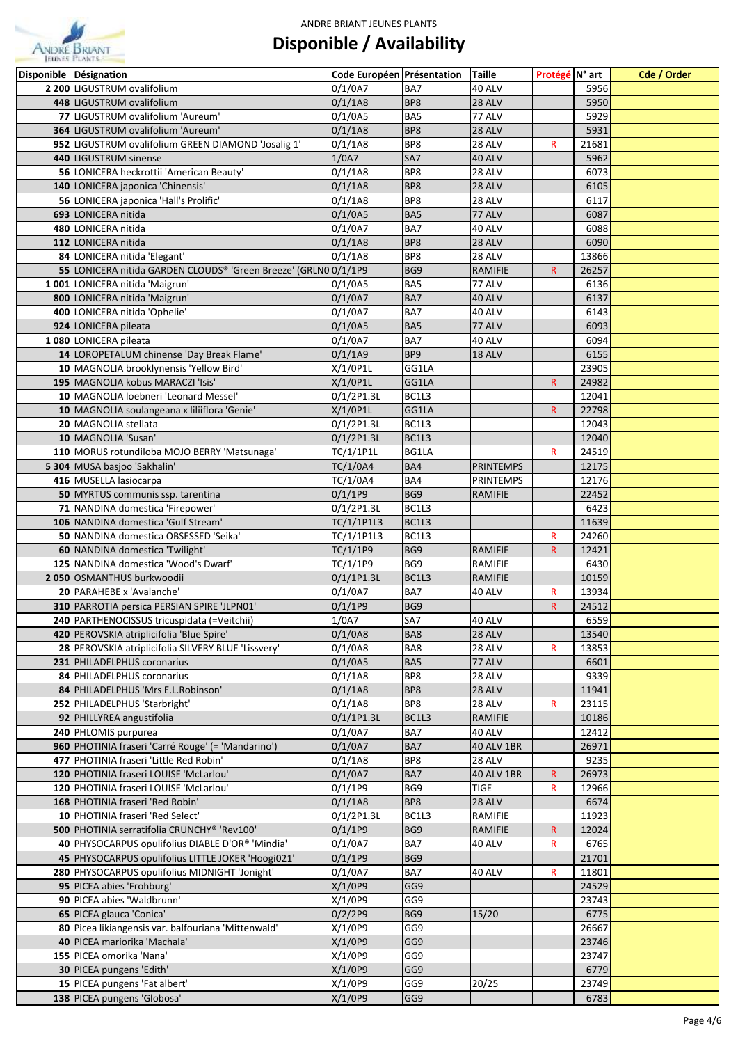

| Disponible Désignation                                                           | Code Européen Présentation |            | <b>Taille</b>                    | Protégé N° art          |                | Cde / Order |
|----------------------------------------------------------------------------------|----------------------------|------------|----------------------------------|-------------------------|----------------|-------------|
| 2 200 LIGUSTRUM ovalifolium                                                      | 0/1/0A7                    | BA7        | 40 ALV                           |                         | 5956           |             |
| 448 LIGUSTRUM ovalifolium                                                        | 0/1/1A8                    | BP8        | 28 ALV                           |                         | 5950           |             |
| 77 LIGUSTRUM ovalifolium 'Aureum'                                                | 0/1/0A5                    | BA5        | 77 ALV                           |                         | 5929           |             |
| 364 LIGUSTRUM ovalifolium 'Aureum'                                               | 0/1/1A8                    | BP8        | 28 ALV                           |                         | 5931           |             |
| 952 LIGUSTRUM ovalifolium GREEN DIAMOND 'Josalig 1'                              | 0/1/1A8                    | BP8        | 28 ALV                           | R                       | 21681          |             |
| 440 LIGUSTRUM sinense                                                            | 1/0A7                      | SA7        | 40 ALV                           |                         | 5962           |             |
| 56 LONICERA heckrottii 'American Beauty'                                         | 0/1/1A8                    | BP8        | 28 ALV                           |                         | 6073           |             |
| 140 LONICERA japonica 'Chinensis'                                                | 0/1/1A8                    | BP8        | 28 ALV                           |                         | 6105           |             |
| 56 LONICERA japonica 'Hall's Prolific'                                           | 0/1/1A8                    | BP8        | 28 ALV                           |                         | 6117           |             |
| 693 LONICERA nitida                                                              | 0/1/0A5                    | BA5        | 77 ALV                           |                         | 6087           |             |
| 480 LONICERA nitida                                                              | 0/1/0A7                    | BA7        | 40 ALV                           |                         | 6088           |             |
| 112 LONICERA nitida                                                              | 0/1/1A8                    | BP8        | 28 ALV                           |                         | 6090           |             |
| 84 LONICERA nitida 'Elegant'                                                     | 0/1/1A8                    | BP8        | 28 ALV                           |                         | 13866          |             |
| 55 LONICERA nitida GARDEN CLOUDS® 'Green Breeze' (GRLN00/1/1P9                   |                            | BG9        | <b>RAMIFIE</b>                   | $\mathsf{R}$            | 26257          |             |
| 1001 LONICERA nitida 'Maigrun'                                                   | 0/1/0A5                    | BA5        | 77 ALV                           |                         | 6136           |             |
| 800 LONICERA nitida 'Maigrun'                                                    | $0/1/0$ A7                 | BA7        | <b>40 ALV</b>                    |                         | 6137           |             |
| 400 LONICERA nitida 'Ophelie'                                                    | 0/1/0A7                    | BA7        | 40 ALV                           |                         | 6143           |             |
| 924 LONICERA pileata                                                             | 0/1/0A5                    | BA5        | 77 ALV                           |                         | 6093           |             |
| 1080 LONICERA pileata                                                            | 0/1/0A7                    | BA7        | 40 ALV                           |                         | 6094           |             |
| 14 LOROPETALUM chinense 'Day Break Flame'                                        | $0/1/1$ A9                 | BP9        | 18 ALV                           |                         | 6155           |             |
| 10 MAGNOLIA brooklynensis 'Yellow Bird'                                          | $X/1/0$ P1L                | GG1LA      |                                  |                         | 23905          |             |
| 195 MAGNOLIA kobus MARACZI 'Isis'                                                | X/1/0P1L                   | GG1LA      |                                  | $\mathsf R$             | 24982          |             |
| 10 MAGNOLIA loebneri 'Leonard Messel'                                            | 0/1/2P1.3L                 | BC1L3      |                                  |                         | 12041          |             |
| 10 MAGNOLIA soulangeana x liliiflora 'Genie'                                     | $X/1/0$ P1L                | GG1LA      |                                  | R                       | 22798          |             |
| 20 MAGNOLIA stellata                                                             | $0/1/2$ P1.3L              | BC1L3      |                                  |                         | 12043          |             |
| 10 MAGNOLIA 'Susan'                                                              | 0/1/2P1.3L                 | BC1L3      |                                  |                         | 12040          |             |
| 110 MORUS rotundiloba MOJO BERRY 'Matsunaga'                                     | TC/1/1P1L                  | BG1LA      |                                  | $\mathsf{R}$            | 24519          |             |
| 5 304 MUSA basjoo 'Sakhalin'                                                     | TC/1/0A4                   | BA4        | <b>PRINTEMPS</b>                 |                         | 12175          |             |
| 416 MUSELLA lasiocarpa                                                           | TC/1/0A4                   | BA4        | <b>PRINTEMPS</b>                 |                         | 12176          |             |
| 50 MYRTUS communis ssp. tarentina                                                | 0/1/1P9                    | BG9        | <b>RAMIFIE</b>                   |                         | 22452          |             |
| 71 NANDINA domestica 'Firepower'                                                 | 0/1/2P1.3L                 | BC1L3      |                                  |                         | 6423           |             |
| 106 NANDINA domestica 'Gulf Stream'                                              | TC/1/1P1L3                 | BC1L3      |                                  |                         | 11639          |             |
| 50 NANDINA domestica OBSESSED 'Seika'                                            | TC/1/1P1L3                 | BC1L3      |                                  | R                       | 24260          |             |
| 60 NANDINA domestica 'Twilight'                                                  | TC/1/1P9                   | BG9        | <b>RAMIFIE</b>                   | $\mathsf{R}$            | 12421          |             |
| 125 NANDINA domestica 'Wood's Dwarf'                                             | TC/1/1P9                   | BG9        | RAMIFIE                          |                         | 6430           |             |
| 2050 OSMANTHUS burkwoodii                                                        | $0/1/1$ P1.3L              | BC1L3      | RAMIFIE                          |                         | 10159          |             |
| 20 PARAHEBE x 'Avalanche'                                                        | $0/1/0$ A7                 | BA7        | 40 ALV                           | $\mathsf R$             | 13934          |             |
| 310 PARROTIA persica PERSIAN SPIRE 'JLPN01'                                      | 0/1/1P9                    | BG9        |                                  | $\overline{\mathsf{R}}$ | 24512          |             |
| 240 PARTHENOCISSUS tricuspidata (=Veitchii)                                      | 1/0A7                      | SA7        | 40 ALV                           |                         | 6559           |             |
| 420 PEROVSKIA atriplicifolia 'Blue Spire'                                        | 0/1/0A8                    | BA8        | 28 ALV                           |                         | 13540          |             |
| 28 PEROVSKIA atriplicifolia SILVERY BLUE 'Lissvery'                              | 0/1/0A8                    | BA8        | 28 ALV                           | R                       | 13853          |             |
| 231 PHILADELPHUS coronarius                                                      | 0/1/0A5                    | BA5        | 77 ALV                           |                         | 6601           |             |
| 84 PHILADELPHUS coronarius                                                       | 0/1/1A8                    | BP8        | 28 ALV                           |                         | 9339           |             |
| 84 PHILADELPHUS 'Mrs E.L.Robinson'                                               | 0/1/1A8                    | BP8        | 28 ALV                           |                         | 11941          |             |
| 252 PHILADELPHUS 'Starbright'                                                    | 0/1/1A8                    | BP8        | 28 ALV                           | R                       | 23115          |             |
| 92 PHILLYREA angustifolia                                                        | $0/1/1$ P1.3L              | BC1L3      | RAMIFIE                          |                         | 10186          |             |
| 240 PHLOMIS purpurea                                                             | 0/1/0A7                    | BA7        | 40 ALV                           |                         | 12412          |             |
| 960 PHOTINIA fraseri 'Carré Rouge' (= 'Mandarino')                               | 0/1/0A7                    | BA7        | <b>40 ALV 1BR</b>                |                         | 26971          |             |
| 477 PHOTINIA fraseri 'Little Red Robin'                                          | 0/1/1A8                    | BP8        | 28 ALV                           |                         | 9235           |             |
| 120 PHOTINIA fraseri LOUISE 'McLarlou'<br>120 PHOTINIA fraseri LOUISE 'McLarlou' | 0/1/0A7<br>$0/1/1$ P9      | BA7<br>BG9 | <b>40 ALV 1BR</b><br><b>TIGE</b> | R<br>R                  | 26973<br>12966 |             |
|                                                                                  |                            | BP8        |                                  |                         | 6674           |             |
| 168 PHOTINIA fraseri 'Red Robin'<br>10 PHOTINIA fraseri 'Red Select'             | 0/1/1A8<br>0/1/2P1.3L      | BC1L3      | <b>28 ALV</b><br>RAMIFIE         |                         | 11923          |             |
| 500 PHOTINIA serratifolia CRUNCHY® 'Rev100'                                      | 0/1/1P9                    | BG9        | <b>RAMIFIE</b>                   | $\mathsf{R}$            | 12024          |             |
| 40 PHYSOCARPUS opulifolius DIABLE D'OR® 'Mindia'                                 | 0/1/0A7                    | BA7        | 40 ALV                           | R                       | 6765           |             |
| 45 PHYSOCARPUS opulifolius LITTLE JOKER 'Hoogi021'                               | 0/1/1P9                    | BG9        |                                  |                         | 21701          |             |
| 280 PHYSOCARPUS opulifolius MIDNIGHT 'Jonight'                                   | 0/1/0A7                    | BA7        | 40 ALV                           | R                       | 11801          |             |
| 95 PICEA abies 'Frohburg'                                                        | X/1/0P9                    | GG9        |                                  |                         | 24529          |             |
| 90 PICEA abies 'Waldbrunn'                                                       | X/1/0P9                    | GG9        |                                  |                         | 23743          |             |
| 65 PICEA glauca 'Conica'                                                         | 0/2/2P9                    | BG9        | 15/20                            |                         | 6775           |             |
| 80 Picea likiangensis var. balfouriana 'Mittenwald'                              | X/1/0P9                    | GG9        |                                  |                         | 26667          |             |
| 40 PICEA mariorika 'Machala'                                                     | X/1/0P9                    | GG9        |                                  |                         | 23746          |             |
| 155 PICEA omorika 'Nana'                                                         | X/1/0P9                    | GG9        |                                  |                         | 23747          |             |
| 30 PICEA pungens 'Edith'                                                         | X/1/0P9                    | GG9        |                                  |                         | 6779           |             |
| 15 PICEA pungens 'Fat albert'                                                    | X/1/0P9                    | GG9        | 20/25                            |                         | 23749          |             |
| 138 PICEA pungens 'Globosa'                                                      | X/1/0P9                    | GG9        |                                  |                         | 6783           |             |
|                                                                                  |                            |            |                                  |                         |                |             |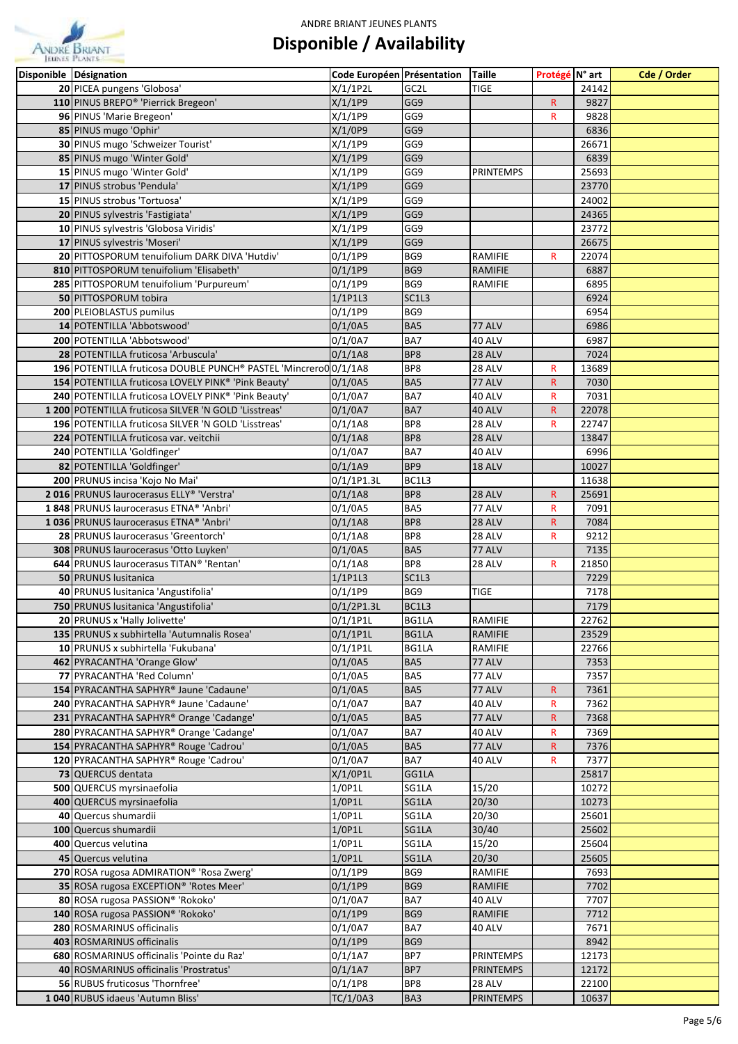

| Disponible Désignation                                                           | Code Européen Présentation |              | <b>Taille</b>              | Protégé N° art    |                | Cde / Order |
|----------------------------------------------------------------------------------|----------------------------|--------------|----------------------------|-------------------|----------------|-------------|
| 20 PICEA pungens 'Globosa'                                                       | $X/1/1$ P2L                | GC2L         | <b>TIGE</b>                |                   | 24142          |             |
| 110 PINUS BREPO® 'Pierrick Bregeon'                                              | X/1/1P9                    | GG9          |                            | $\mathsf{R}$      | 9827           |             |
| 96 PINUS 'Marie Bregeon'                                                         | X/1/1P9                    | GG9          |                            | $\mathsf{R}$      | 9828           |             |
| 85 PINUS mugo 'Ophir'                                                            | X/1/0P9                    | GG9          |                            |                   | 6836           |             |
| 30 PINUS mugo 'Schweizer Tourist'                                                | X/1/1P9                    | GG9          |                            |                   | 26671          |             |
| 85 PINUS mugo 'Winter Gold'                                                      | X/1/1P9                    | GG9          |                            |                   | 6839           |             |
| 15 PINUS mugo 'Winter Gold'                                                      | X/1/1P9                    | GG9          | <b>PRINTEMPS</b>           |                   | 25693          |             |
| 17 PINUS strobus 'Pendula'                                                       | X/1/1P9                    | GG9          |                            |                   | 23770          |             |
| 15 PINUS strobus 'Tortuosa'                                                      | X/1/1P9                    | GG9          |                            |                   | 24002          |             |
| 20 PINUS sylvestris 'Fastigiata'                                                 | X/1/1P9                    | GG9          |                            |                   | 24365          |             |
| 10 PINUS sylvestris 'Globosa Viridis'                                            | X/1/1P9                    | GG9          |                            |                   | 23772          |             |
| 17 PINUS sylvestris 'Moseri'                                                     | X/1/1P9                    | GG9          |                            |                   | 26675          |             |
| 20 PITTOSPORUM tenuifolium DARK DIVA 'Hutdiv'                                    | $0/1/1$ P9                 | BG9          | RAMIFIE                    | R                 | 22074          |             |
| 810 PITTOSPORUM tenuifolium 'Elisabeth'                                          | 0/1/1P9                    | BG9          | RAMIFIE                    |                   | 6887           |             |
| 285 PITTOSPORUM tenuifolium 'Purpureum'                                          | $0/1/1$ P9                 | BG9          | RAMIFIE                    |                   | 6895           |             |
| 50 PITTOSPORUM tobira                                                            | 1/1P1L3                    | SC1L3        |                            |                   | 6924           |             |
| 200 PLEIOBLASTUS pumilus                                                         | $0/1/1$ P9                 | BG9          |                            |                   | 6954           |             |
| 14 POTENTILLA 'Abbotswood'                                                       | 0/1/0A5                    | BA5          | 77 ALV                     |                   | 6986           |             |
| 200 POTENTILLA 'Abbotswood'                                                      | 0/1/0A7                    | BA7          | 40 ALV                     |                   | 6987           |             |
| 28 POTENTILLA fruticosa 'Arbuscula'                                              | 0/1/1A8                    | BP8          | 28 ALV                     |                   | 7024           |             |
| 196 POTENTILLA fruticosa DOUBLE PUNCH® PASTEL 'Mincrero0 0/1/1A8                 |                            | BP8          | 28 ALV                     | R                 | 13689          |             |
| 154 POTENTILLA fruticosa LOVELY PINK® 'Pink Beauty'                              | 0/1/0A5                    | BA5          | 77 ALV                     | $\mathsf{R}$      | 7030           |             |
| 240 POTENTILLA fruticosa LOVELY PINK® 'Pink Beauty'                              | 0/1/0A7                    | BA7          | 40 ALV                     | R                 | 7031           |             |
| 1 200 POTENTILLA fruticosa SILVER 'N GOLD 'Lisstreas'                            | $0/1/0$ A7                 | BA7          | 40 ALV                     | $\mathsf{R}$      | 22078          |             |
| 196 POTENTILLA fruticosa SILVER 'N GOLD 'Lisstreas'                              | 0/1/1A8                    | BP8          | 28 ALV                     | $\mathsf R$       | 22747          |             |
| 224 POTENTILLA fruticosa var. veitchii                                           | 0/1/1A8                    | BP8          | 28 ALV                     |                   | 13847          |             |
| 240 POTENTILLA 'Goldfinger'                                                      | $0/1/0$ A7                 | BA7          | 40 ALV                     |                   | 6996           |             |
| 82 POTENTILLA 'Goldfinger'                                                       | $0/1/1$ A9                 | BP9          | 18 ALV                     |                   | 10027          |             |
| 200 PRUNUS incisa 'Kojo No Mai'                                                  | 0/1/1P1.3L                 | BC1L3        |                            |                   | 11638          |             |
| 2016 PRUNUS laurocerasus ELLY® 'Verstra'                                         | 0/1/1A8                    | BP8          | <b>28 ALV</b>              | R                 | 25691          |             |
| 1848 PRUNUS laurocerasus ETNA® 'Anbri'                                           | 0/1/0A5                    | BA5          | 77 ALV                     | R                 | 7091           |             |
| 1036 PRUNUS laurocerasus ETNA® 'Anbri'                                           | 0/1/1A8                    | BP8          | 28 ALV                     | R.                | 7084           |             |
| 28 PRUNUS laurocerasus 'Greentorch'                                              | 0/1/1A8                    | BP8          | 28 ALV                     | R                 | 9212           |             |
| 308 PRUNUS laurocerasus 'Otto Luyken'                                            | 0/1/0A5                    | BA5          | 77 ALV                     |                   | 7135           |             |
| 644 PRUNUS laurocerasus TITAN® 'Rentan'                                          | 0/1/1A8                    | BP8          | 28 ALV                     | R                 | 21850          |             |
| 50 PRUNUS lusitanica                                                             | $1/1$ P1L3                 | SC1L3        |                            |                   | 7229           |             |
| 40 PRUNUS lusitanica 'Angustifolia'                                              | 0/1/1P9                    | BG9          | <b>TIGE</b>                |                   | 7178           |             |
| 750 PRUNUS lusitanica 'Angustifolia'                                             | $0/1/2$ P1.3L              | BC1L3        |                            |                   | 7179           |             |
| 20 PRUNUS x 'Hally Jolivette'                                                    | $0/1/1$ P1L                | BG1LA        | RAMIFIE                    |                   | 22762          |             |
| 135 PRUNUS x subhirtella 'Autumnalis Rosea'                                      | $0/1/1$ P1L                | BG1LA        | <b>RAMIFIE</b>             |                   | 23529          |             |
| 10 PRUNUS x subhirtella 'Fukubana'                                               | $0/1/1$ P1L                | BG1LA        | RAMIFIE                    |                   | 22766          |             |
| 462 PYRACANTHA 'Orange Glow'                                                     | 0/1/0A5                    | BA5          | 77 ALV                     |                   | 7353           |             |
| 77 PYRACANTHA 'Red Column'                                                       | 0/1/0A5                    | BA5          | 77 ALV                     |                   | 7357           |             |
| 154 PYRACANTHA SAPHYR® Jaune 'Cadaune'                                           | 0/1/0A5                    | BA5          | 77 ALV                     | $\mathsf{R}$      | 7361           |             |
| 240 PYRACANTHA SAPHYR® Jaune 'Cadaune'                                           | 0/1/0A7                    | BA7          | 40 ALV                     | $\mathsf R$       | 7362           |             |
| 231 PYRACANTHA SAPHYR® Orange 'Cadange'                                          | 0/1/0A5                    | BA5          | 77 ALV                     | ${\sf R}$         | 7368           |             |
| 280 PYRACANTHA SAPHYR® Orange 'Cadange'<br>154 PYRACANTHA SAPHYR® Rouge 'Cadrou' | 0/1/0A7<br>0/1/0A5         | BA7<br>BA5   | 40 ALV<br>77 ALV           | R<br>$\mathsf{R}$ | 7369<br>7376   |             |
|                                                                                  |                            |              |                            |                   |                |             |
| 120 PYRACANTHA SAPHYR® Rouge 'Cadrou'<br>73 QUERCUS dentata                      | 0/1/0A7<br>X/1/0P1L        | BA7<br>GG1LA | 40 ALV                     | R                 | 7377<br>25817  |             |
| 500 QUERCUS myrsinaefolia                                                        | 1/0P1L                     | SG1LA        | 15/20                      |                   | 10272          |             |
| 400 QUERCUS myrsinaefolia                                                        | $1/0$ P1L                  | SG1LA        | 20/30                      |                   | 10273          |             |
| 40 Quercus shumardii                                                             | 1/0P1L                     | SG1LA        | 20/30                      |                   | 25601          |             |
| 100 Quercus shumardii                                                            | $1/0$ P1L                  | SG1LA        | 30/40                      |                   | 25602          |             |
| 400 Quercus velutina                                                             | $1/0$ P1L                  | SG1LA        | 15/20                      |                   | 25604          |             |
| 45 Quercus velutina                                                              | $1/0$ P1L                  | SG1LA        | 20/30                      |                   | 25605          |             |
|                                                                                  | $0/1/1$ P9                 | BG9          | RAMIFIE                    |                   | 7693           |             |
|                                                                                  |                            |              |                            |                   |                |             |
| 270 ROSA rugosa ADMIRATION® 'Rosa Zwerg'                                         |                            |              |                            |                   |                |             |
| 35 ROSA rugosa EXCEPTION® 'Rotes Meer'                                           | 0/1/1P9                    | BG9          | <b>RAMIFIE</b>             |                   | 7702           |             |
| 80 ROSA rugosa PASSION® 'Rokoko'                                                 | 0/1/0A7                    | BA7          | 40 ALV                     |                   | 7707           |             |
| 140 ROSA rugosa PASSION® 'Rokoko'                                                | 0/1/1P9                    | BG9          | <b>RAMIFIE</b>             |                   | 7712           |             |
| 280 ROSMARINUS officinalis                                                       | 0/1/0A7                    | BA7<br>BG9   | 40 ALV                     |                   | 7671           |             |
| 403 ROSMARINUS officinalis                                                       | $0/1/1$ P9                 |              |                            |                   | 8942           |             |
| 680 ROSMARINUS officinalis 'Pointe du Raz'                                       | $0/1/1$ A7                 | BP7<br>BP7   | <b>PRINTEMPS</b>           |                   | 12173<br>12172 |             |
| 40 ROSMARINUS officinalis 'Prostratus'<br>56 RUBUS fruticosus 'Thornfree'        | $0/1/1$ A7<br>0/1/1P8      | BP8          | <b>PRINTEMPS</b><br>28 ALV |                   | 22100          |             |